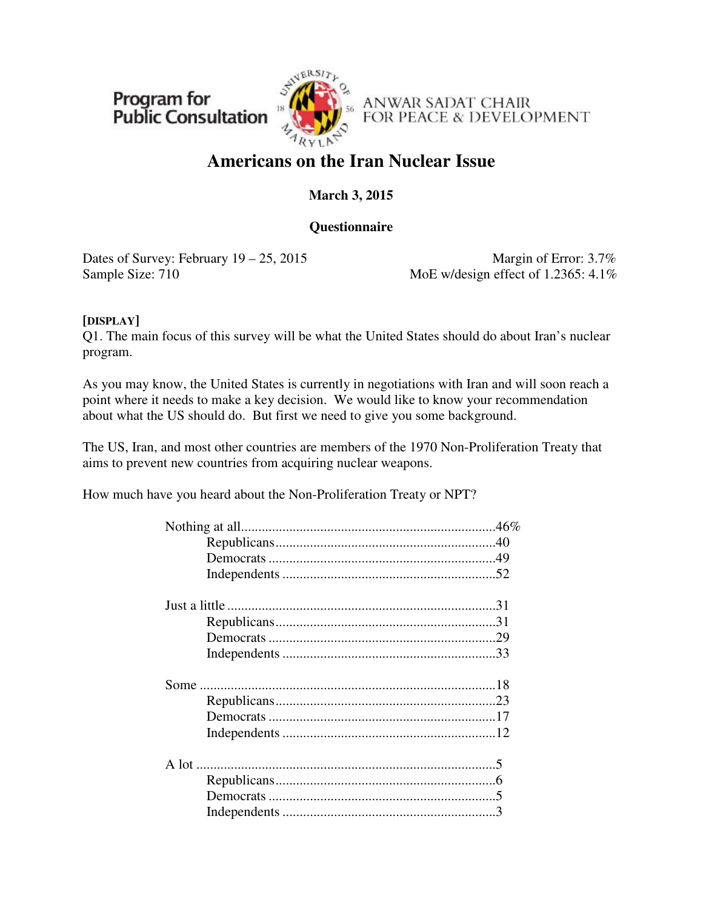Program for **Public Consultation** 



ANWAR SADAT CHAIR FOR PEACE & DEVELOPMENT

# **Americans on the Iran Nuclear Issue**

### **March 3, 2015**

### **Questionnaire**

Dates of Survey: February  $19 - 25$ , 2015 Margin of Error: 3.7% Sample Size: 710 MoE w/design effect of 1.2365: 4.1%

### **[DISPLAY]**

Q1. The main focus of this survey will be what the United States should do about Iran's nuclear program.

As you may know, the United States is currently in negotiations with Iran and will soon reach a point where it needs to make a key decision. We would like to know your recommendation about what the US should do. But first we need to give you some background.

The US, Iran, and most other countries are members of the 1970 Non-Proliferation Treaty that aims to prevent new countries from acquiring nuclear weapons.

How much have you heard about the Non-Proliferation Treaty or NPT?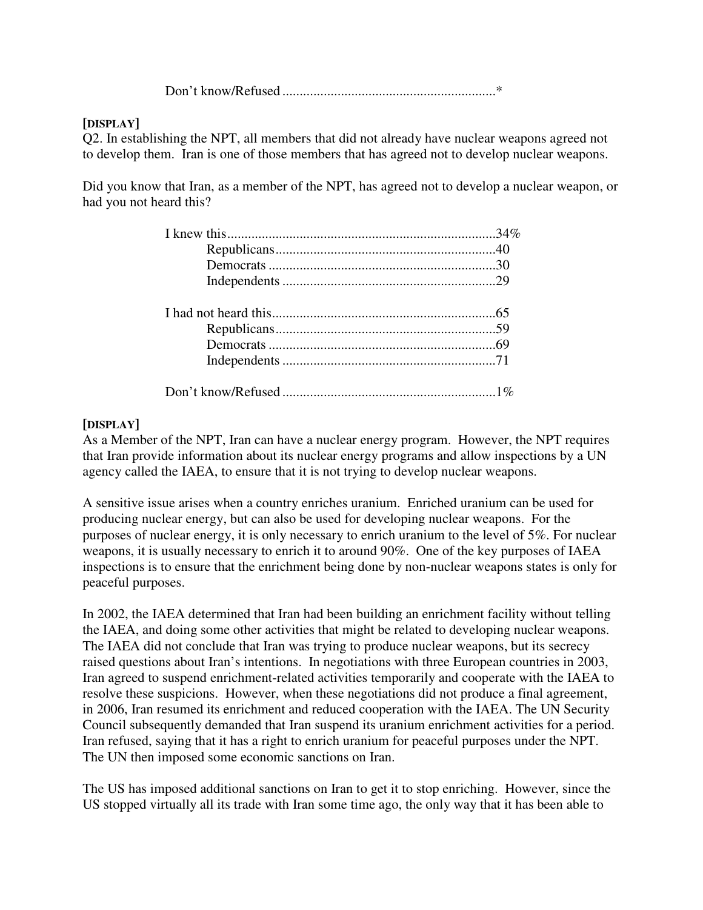Don't know/Refused ..............................................................\*

### **[DISPLAY]**

Q2. In establishing the NPT, all members that did not already have nuclear weapons agreed not to develop them. Iran is one of those members that has agreed not to develop nuclear weapons.

Did you know that Iran, as a member of the NPT, has agreed not to develop a nuclear weapon, or had you not heard this?

### **[DISPLAY]**

As a Member of the NPT, Iran can have a nuclear energy program. However, the NPT requires that Iran provide information about its nuclear energy programs and allow inspections by a UN agency called the IAEA, to ensure that it is not trying to develop nuclear weapons.

A sensitive issue arises when a country enriches uranium. Enriched uranium can be used for producing nuclear energy, but can also be used for developing nuclear weapons. For the purposes of nuclear energy, it is only necessary to enrich uranium to the level of 5%. For nuclear weapons, it is usually necessary to enrich it to around 90%. One of the key purposes of IAEA inspections is to ensure that the enrichment being done by non-nuclear weapons states is only for peaceful purposes.

In 2002, the IAEA determined that Iran had been building an enrichment facility without telling the IAEA, and doing some other activities that might be related to developing nuclear weapons. The IAEA did not conclude that Iran was trying to produce nuclear weapons, but its secrecy raised questions about Iran's intentions. In negotiations with three European countries in 2003, Iran agreed to suspend enrichment-related activities temporarily and cooperate with the IAEA to resolve these suspicions. However, when these negotiations did not produce a final agreement, in 2006, Iran resumed its enrichment and reduced cooperation with the IAEA. The UN Security Council subsequently demanded that Iran suspend its uranium enrichment activities for a period. Iran refused, saying that it has a right to enrich uranium for peaceful purposes under the NPT. The UN then imposed some economic sanctions on Iran.

The US has imposed additional sanctions on Iran to get it to stop enriching. However, since the US stopped virtually all its trade with Iran some time ago, the only way that it has been able to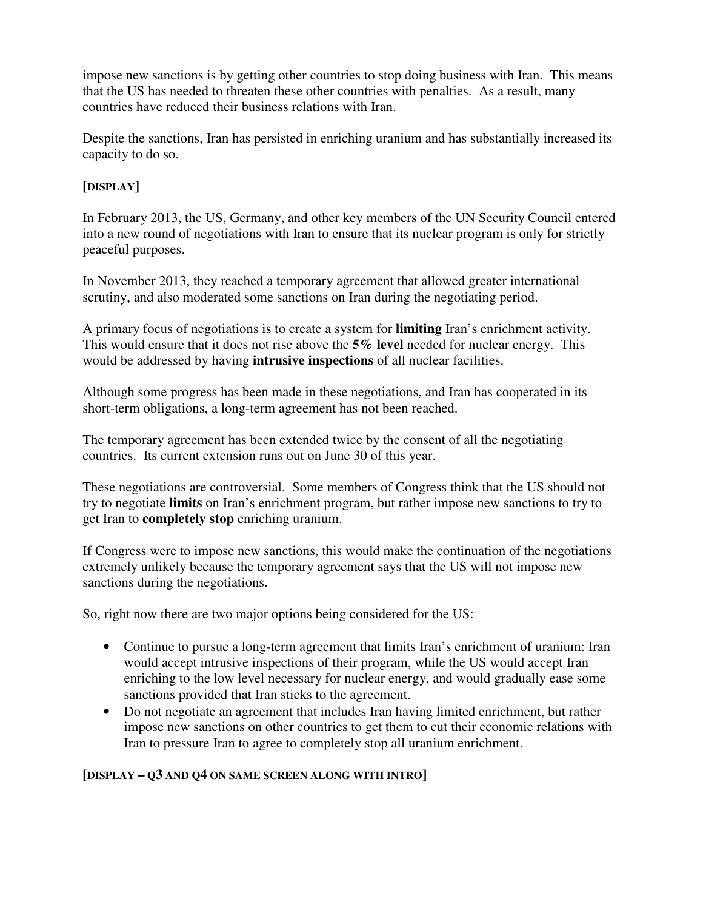impose new sanctions is by getting other countries to stop doing business with Iran. This means that the US has needed to threaten these other countries with penalties. As a result, many countries have reduced their business relations with Iran.

Despite the sanctions, Iran has persisted in enriching uranium and has substantially increased its capacity to do so.

### **[DISPLAY]**

In February 2013, the US, Germany, and other key members of the UN Security Council entered into a new round of negotiations with Iran to ensure that its nuclear program is only for strictly peaceful purposes.

In November 2013, they reached a temporary agreement that allowed greater international scrutiny, and also moderated some sanctions on Iran during the negotiating period.

A primary focus of negotiations is to create a system for **limiting** Iran's enrichment activity. This would ensure that it does not rise above the **5% level** needed for nuclear energy. This would be addressed by having **intrusive inspections** of all nuclear facilities.

Although some progress has been made in these negotiations, and Iran has cooperated in its short-term obligations, a long-term agreement has not been reached.

The temporary agreement has been extended twice by the consent of all the negotiating countries. Its current extension runs out on June 30 of this year.

These negotiations are controversial. Some members of Congress think that the US should not try to negotiate **limits** on Iran's enrichment program, but rather impose new sanctions to try to get Iran to **completely stop** enriching uranium.

If Congress were to impose new sanctions, this would make the continuation of the negotiations extremely unlikely because the temporary agreement says that the US will not impose new sanctions during the negotiations.

So, right now there are two major options being considered for the US:

- Continue to pursue a long-term agreement that limits Iran's enrichment of uranium: Iran would accept intrusive inspections of their program, while the US would accept Iran enriching to the low level necessary for nuclear energy, and would gradually ease some sanctions provided that Iran sticks to the agreement.
- Do not negotiate an agreement that includes Iran having limited enrichment, but rather impose new sanctions on other countries to get them to cut their economic relations with Iran to pressure Iran to agree to completely stop all uranium enrichment.

### **[DISPLAY – Q3 AND Q4 ON SAME SCREEN ALONG WITH INTRO]**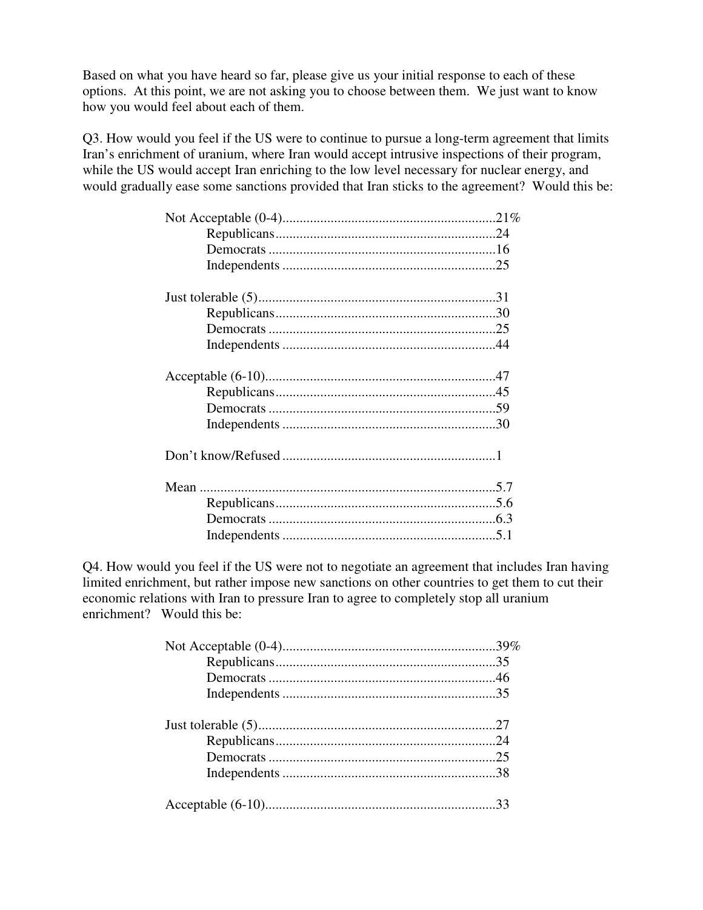Based on what you have heard so far, please give us your initial response to each of these options. At this point, we are not asking you to choose between them. We just want to know how you would feel about each of them.

Q3. How would you feel if the US were to continue to pursue a long-term agreement that limits Iran's enrichment of uranium, where Iran would accept intrusive inspections of their program, while the US would accept Iran enriching to the low level necessary for nuclear energy, and would gradually ease some sanctions provided that Iran sticks to the agreement? Would this be:

Q4. How would you feel if the US were not to negotiate an agreement that includes Iran having limited enrichment, but rather impose new sanctions on other countries to get them to cut their economic relations with Iran to pressure Iran to agree to completely stop all uranium enrichment? Would this be: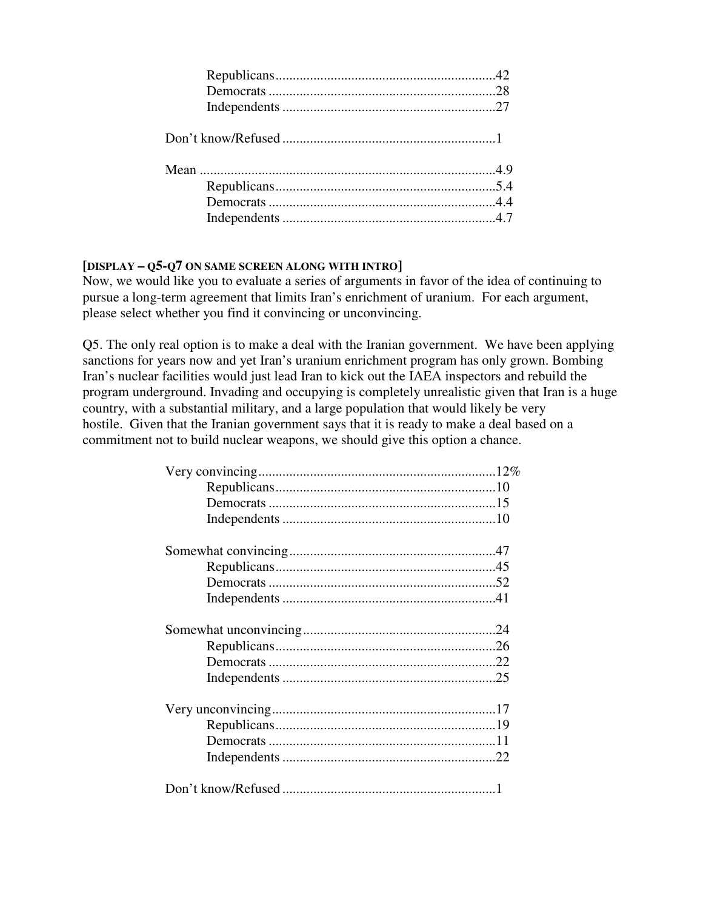### **[DISPLAY – Q5-Q7 ON SAME SCREEN ALONG WITH INTRO]**

Now, we would like you to evaluate a series of arguments in favor of the idea of continuing to pursue a long-term agreement that limits Iran's enrichment of uranium. For each argument, please select whether you find it convincing or unconvincing.

Q5. The only real option is to make a deal with the Iranian government. We have been applying sanctions for years now and yet Iran's uranium enrichment program has only grown. Bombing Iran's nuclear facilities would just lead Iran to kick out the IAEA inspectors and rebuild the program underground. Invading and occupying is completely unrealistic given that Iran is a huge country, with a substantial military, and a large population that would likely be very hostile. Given that the Iranian government says that it is ready to make a deal based on a commitment not to build nuclear weapons, we should give this option a chance.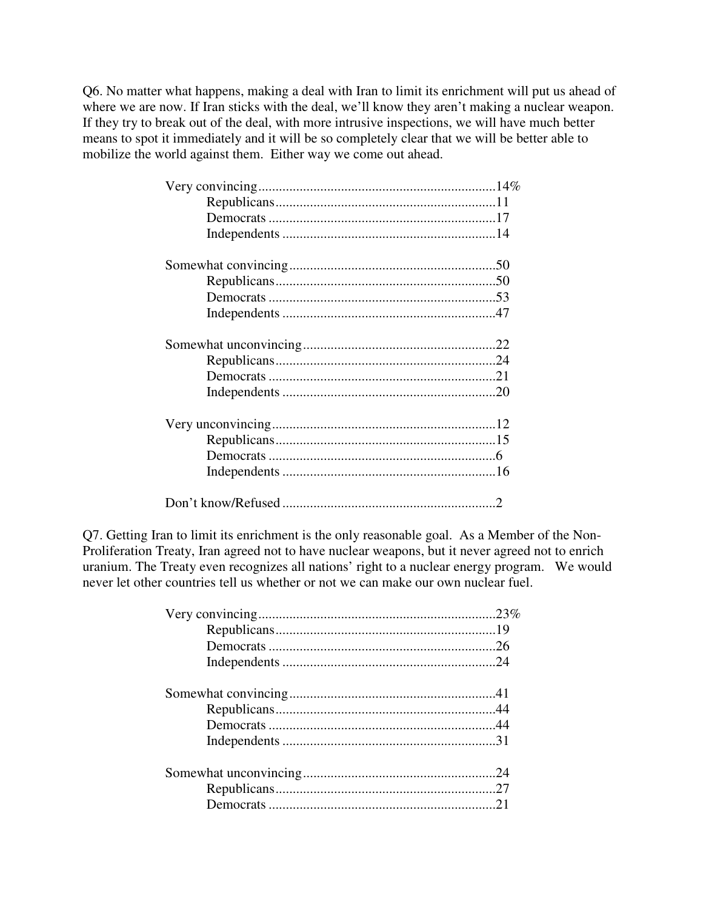Q6. No matter what happens, making a deal with Iran to limit its enrichment will put us ahead of where we are now. If Iran sticks with the deal, we'll know they aren't making a nuclear weapon. If they try to break out of the deal, with more intrusive inspections, we will have much better means to spot it immediately and it will be so completely clear that we will be better able to mobilize the world against them. Either way we come out ahead.

| Don't know/Refused |  |
|--------------------|--|

Q7. Getting Iran to limit its enrichment is the only reasonable goal. As a Member of the Non-Proliferation Treaty, Iran agreed not to have nuclear weapons, but it never agreed not to enrich uranium. The Treaty even recognizes all nations' right to a nuclear energy program. We would never let other countries tell us whether or not we can make our own nuclear fuel.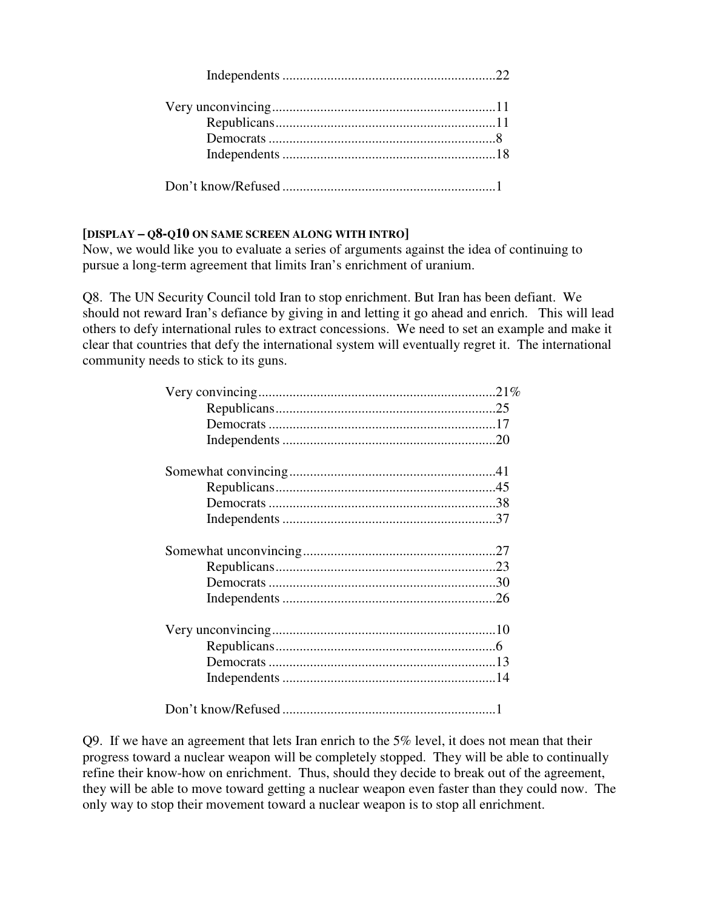### **[DISPLAY – Q8-Q10 ON SAME SCREEN ALONG WITH INTRO]**

Now, we would like you to evaluate a series of arguments against the idea of continuing to pursue a long-term agreement that limits Iran's enrichment of uranium.

Q8. The UN Security Council told Iran to stop enrichment. But Iran has been defiant. We should not reward Iran's defiance by giving in and letting it go ahead and enrich. This will lead others to defy international rules to extract concessions. We need to set an example and make it clear that countries that defy the international system will eventually regret it. The international community needs to stick to its guns.

Q9. If we have an agreement that lets Iran enrich to the 5% level, it does not mean that their progress toward a nuclear weapon will be completely stopped. They will be able to continually refine their know-how on enrichment. Thus, should they decide to break out of the agreement, they will be able to move toward getting a nuclear weapon even faster than they could now. The only way to stop their movement toward a nuclear weapon is to stop all enrichment.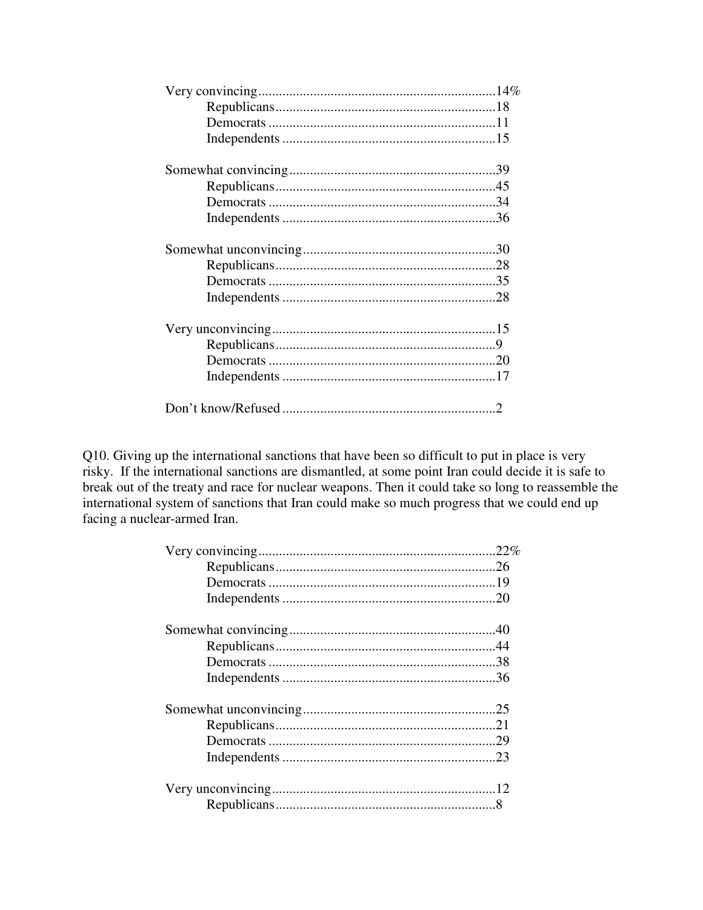Q10. Giving up the international sanctions that have been so difficult to put in place is very risky. If the international sanctions are dismantled, at some point Iran could decide it is safe to break out of the treaty and race for nuclear weapons. Then it could take so long to reassemble the international system of sanctions that Iran could make so much progress that we could end up facing a nuclear-armed Iran.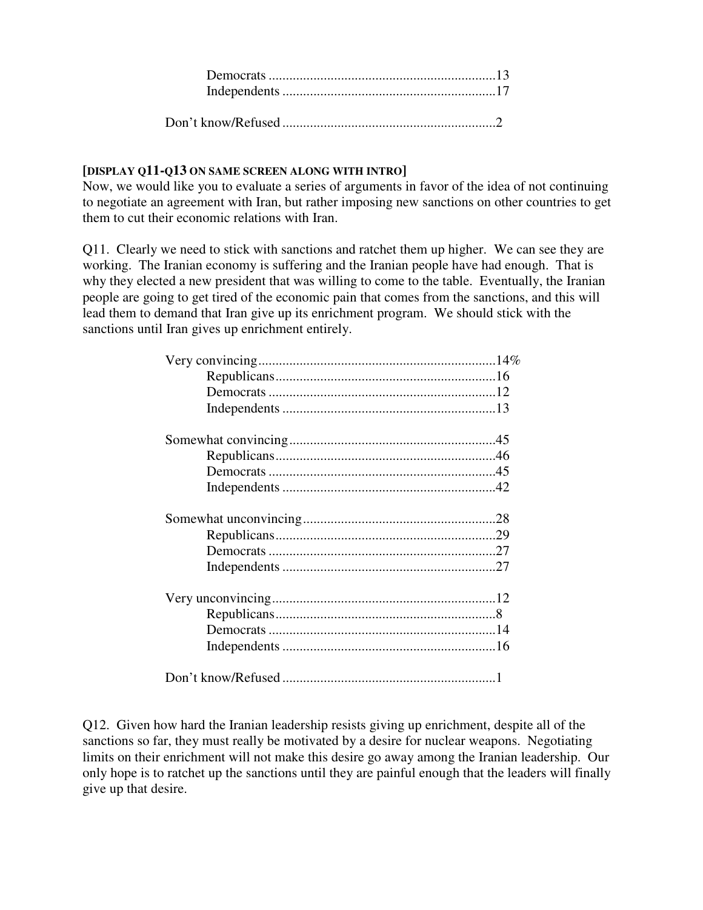#### **[DISPLAY Q11-Q13 ON SAME SCREEN ALONG WITH INTRO]**

Now, we would like you to evaluate a series of arguments in favor of the idea of not continuing to negotiate an agreement with Iran, but rather imposing new sanctions on other countries to get them to cut their economic relations with Iran.

Q11. Clearly we need to stick with sanctions and ratchet them up higher. We can see they are working. The Iranian economy is suffering and the Iranian people have had enough. That is why they elected a new president that was willing to come to the table. Eventually, the Iranian people are going to get tired of the economic pain that comes from the sanctions, and this will lead them to demand that Iran give up its enrichment program. We should stick with the sanctions until Iran gives up enrichment entirely.

Q12. Given how hard the Iranian leadership resists giving up enrichment, despite all of the sanctions so far, they must really be motivated by a desire for nuclear weapons. Negotiating limits on their enrichment will not make this desire go away among the Iranian leadership. Our only hope is to ratchet up the sanctions until they are painful enough that the leaders will finally give up that desire.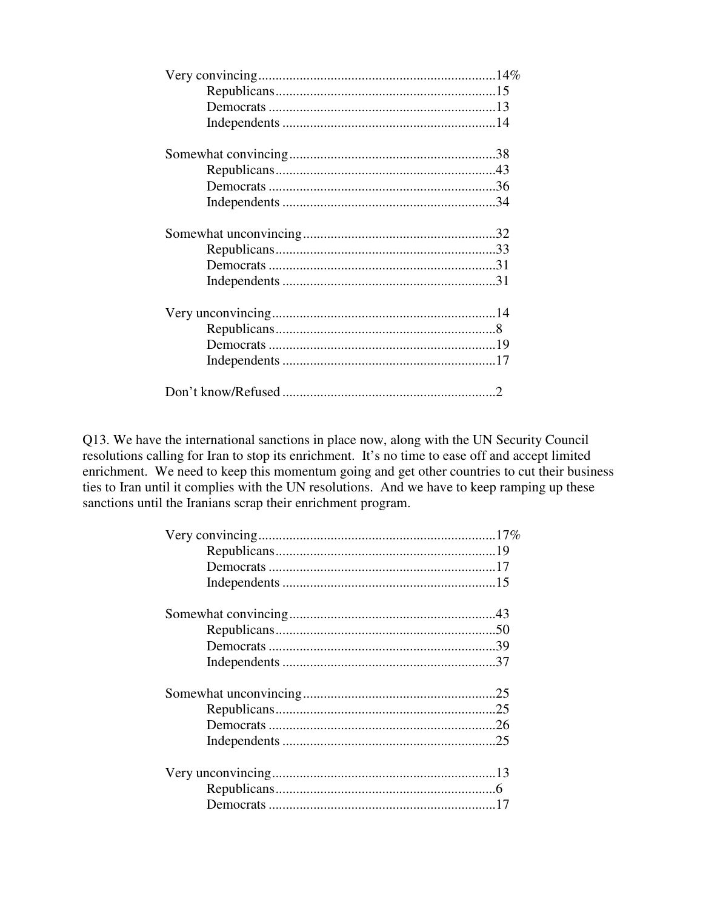Q13. We have the international sanctions in place now, along with the UN Security Council resolutions calling for Iran to stop its enrichment. It's no time to ease off and accept limited enrichment. We need to keep this momentum going and get other countries to cut their business<br>ties to Iran until it complies with the UN resolutions. And we have to keep ramping up these sanctions until the Iranians scrap their enrichment program.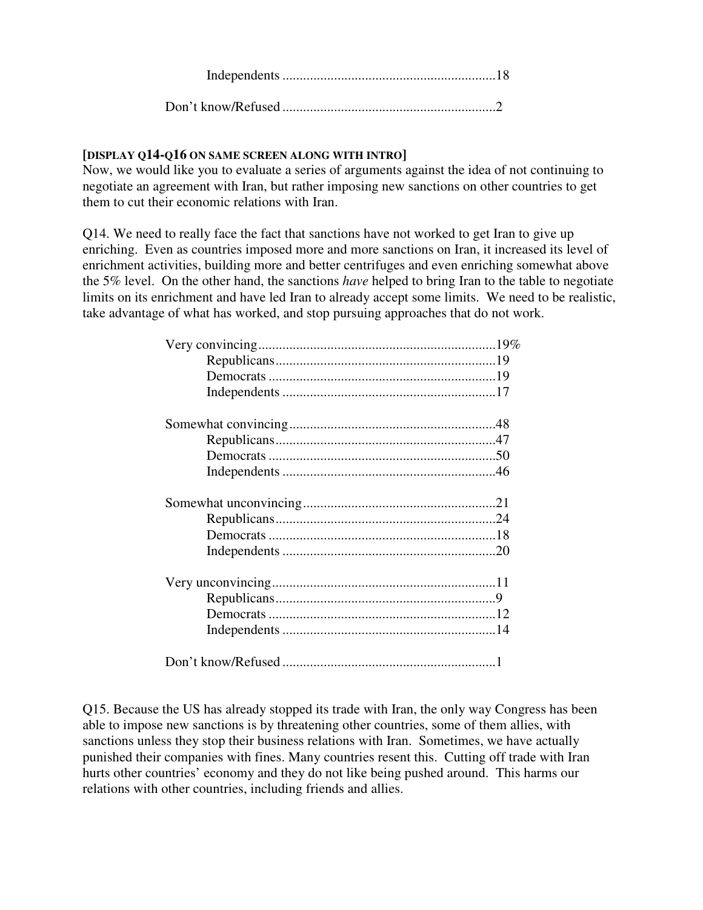Don't know/Refused ..............................................................2

### **[DISPLAY Q14-Q16 ON SAME SCREEN ALONG WITH INTRO]**

Now, we would like you to evaluate a series of arguments against the idea of not continuing to negotiate an agreement with Iran, but rather imposing new sanctions on other countries to get them to cut their economic relations with Iran.

Q14. We need to really face the fact that sanctions have not worked to get Iran to give up enriching. Even as countries imposed more and more sanctions on Iran, it increased its level of enrichment activities, building more and better centrifuges and even enriching somewhat above the 5% level. On the other hand, the sanctions *have* helped to bring Iran to the table to negotiate limits on its enrichment and have led Iran to already accept some limits. We need to be realistic, take advantage of what has worked, and stop pursuing approaches that do not work.

Q15. Because the US has already stopped its trade with Iran, the only way Congress has been able to impose new sanctions is by threatening other countries, some of them allies, with sanctions unless they stop their business relations with Iran. Sometimes, we have actually punished their companies with fines. Many countries resent this. Cutting off trade with Iran hurts other countries' economy and they do not like being pushed around. This harms our relations with other countries, including friends and allies.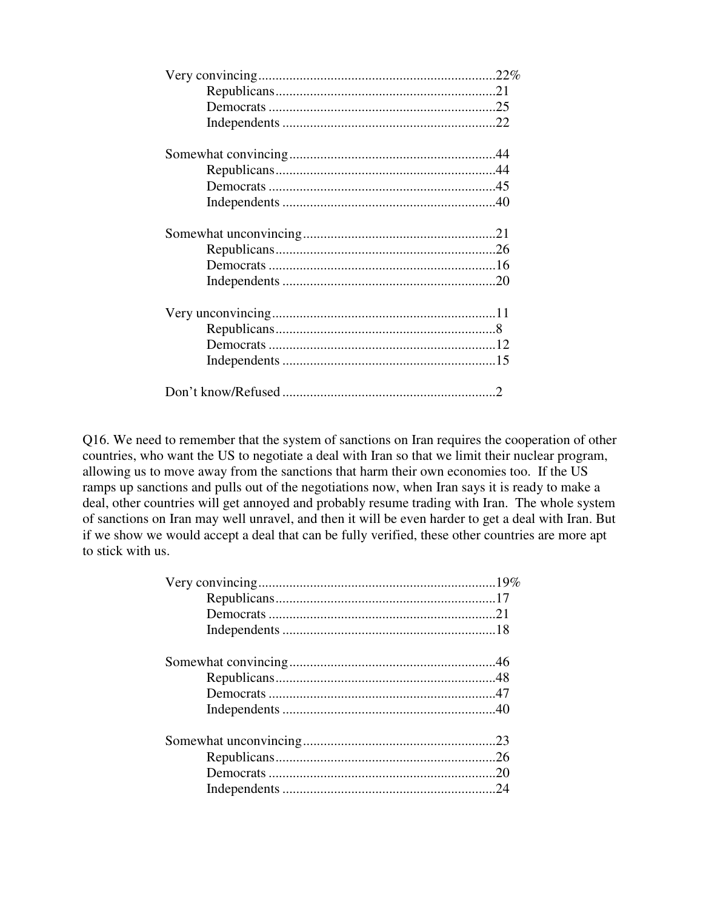Q16. We need to remember that the system of sanctions on Iran requires the cooperation of other countries, who want the US to negotiate a deal with Iran so that we limit their nuclear program, allowing us to move away from the sanctions that harm their own economies too. If the US ramps up sanctions and pulls out of the negotiations now, when Iran says it is ready to make a deal, other countries will get annoyed and probably resume trading with Iran. The whole system of sanctions on Iran may well unravel, and then it will be even harder to get a deal with Iran. But if we show we would accept a deal that can be fully verified, these other countries are more apt to stick with us.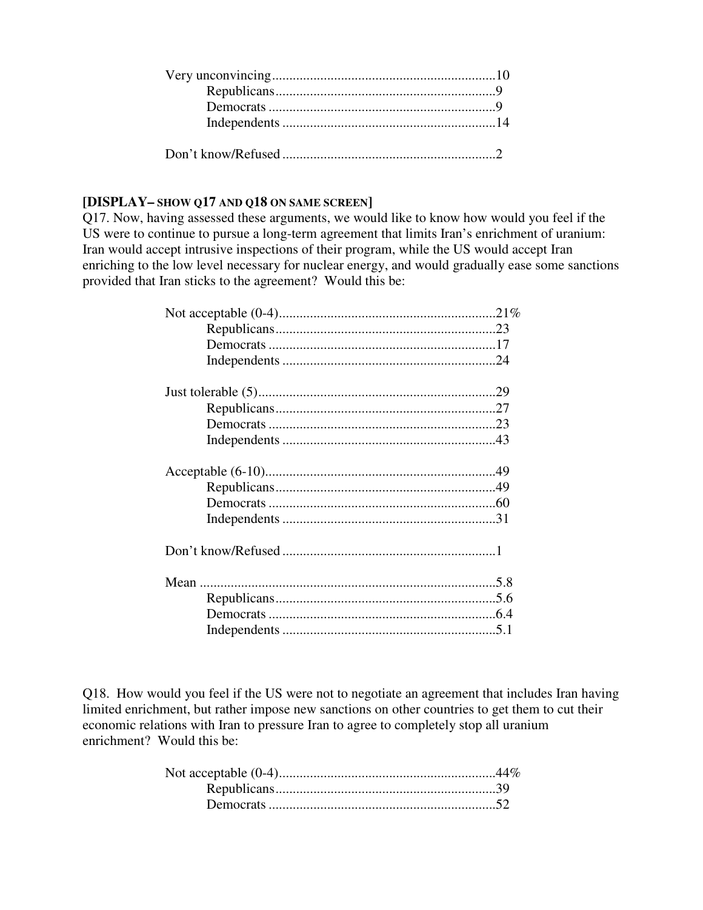### **[DISPLAY– SHOW Q17 AND Q18 ON SAME SCREEN]**

Q17. Now, having assessed these arguments, we would like to know how would you feel if the US were to continue to pursue a long-term agreement that limits Iran's enrichment of uranium: Iran would accept intrusive inspections of their program, while the US would accept Iran enriching to the low level necessary for nuclear energy, and would gradually ease some sanctions provided that Iran sticks to the agreement? Would this be:

Q18. How would you feel if the US were not to negotiate an agreement that includes Iran having limited enrichment, but rather impose new sanctions on other countries to get them to cut their economic relations with Iran to pressure Iran to agree to completely stop all uranium enrichment? Would this be: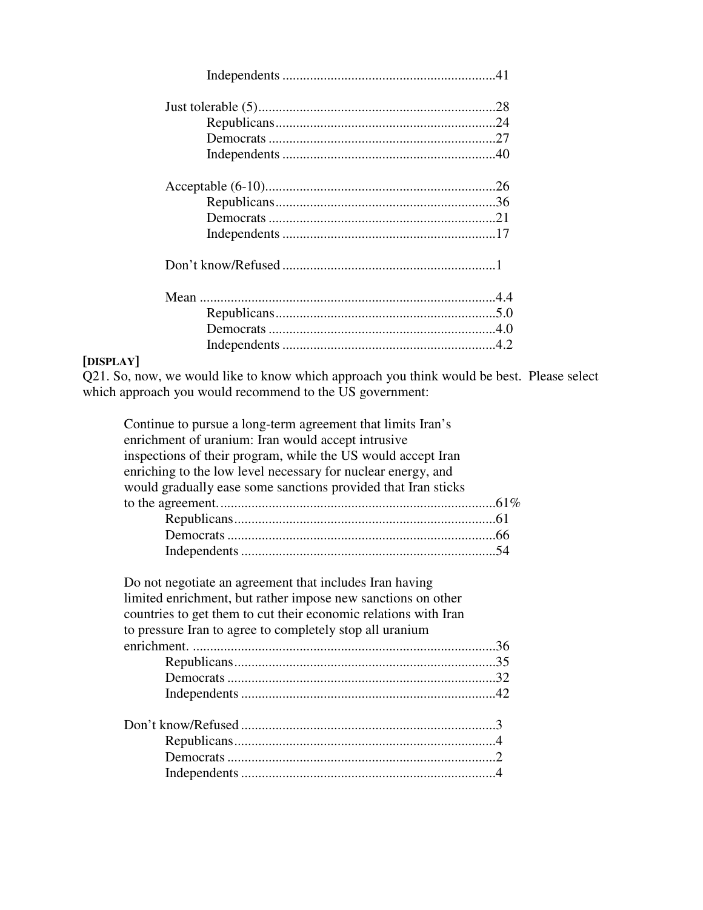### **[DISPLAY]**

Q21. So, now, we would like to know which approach you think would be best. Please select which approach you would recommend to the US government:

| Continue to pursue a long-term agreement that limits Iran's   |  |
|---------------------------------------------------------------|--|
| enrichment of uranium: Iran would accept intrusive            |  |
| inspections of their program, while the US would accept Iran  |  |
| enriching to the low level necessary for nuclear energy, and  |  |
| would gradually ease some sanctions provided that Iran sticks |  |
|                                                               |  |
|                                                               |  |
|                                                               |  |
|                                                               |  |
|                                                               |  |
| Do not negotiate an agreement that includes Iran having       |  |

| Do not negotiate an agreement that includes Iran having         |  |
|-----------------------------------------------------------------|--|
| limited enrichment, but rather impose new sanctions on other    |  |
| countries to get them to cut their economic relations with Iran |  |
| to pressure Iran to agree to completely stop all uranium        |  |
|                                                                 |  |
|                                                                 |  |
|                                                                 |  |
|                                                                 |  |
|                                                                 |  |
|                                                                 |  |
|                                                                 |  |
|                                                                 |  |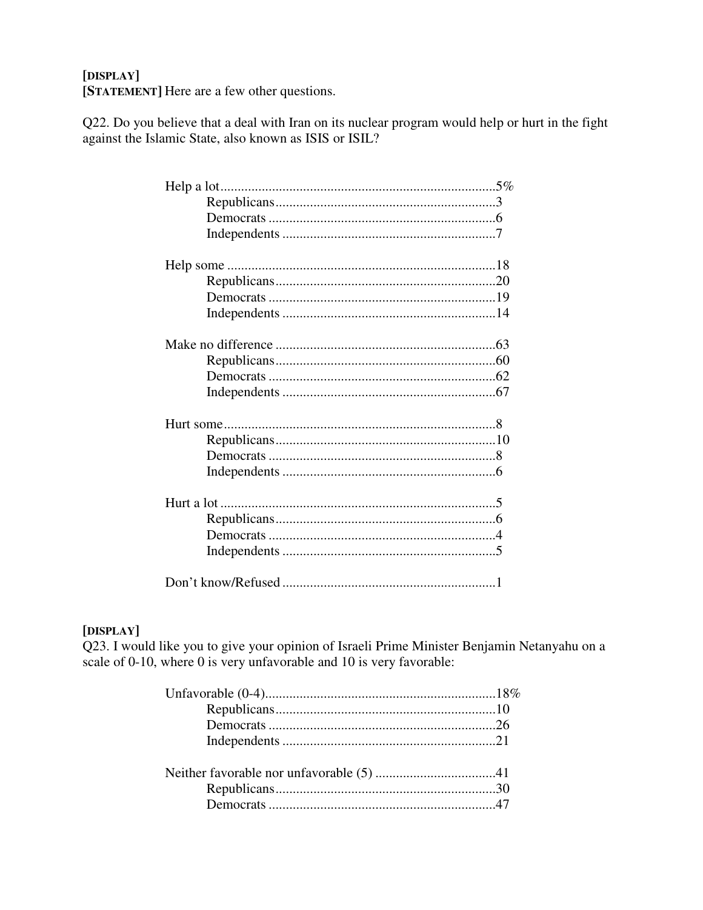### [DISPLAY]

[STATEMENT] Here are a few other questions.

Q22. Do you believe that a deal with Iran on its nuclear program would help or hurt in the fight against the Islamic State, also known as ISIS or ISIL?

### [DISPLAY]

Q23. I would like you to give your opinion of Israeli Prime Minister Benjamin Netanyahu on a scale of 0-10, where 0 is very unfavorable and 10 is very favorable: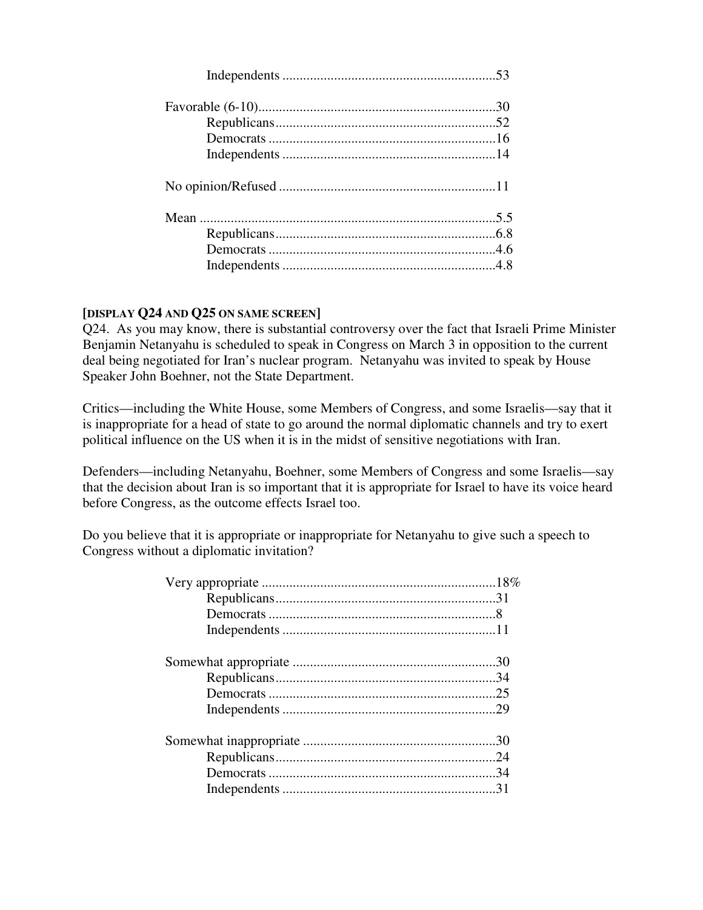#### **[DISPLAY Q24 AND Q25 ON SAME SCREEN]**

Q24. As you may know, there is substantial controversy over the fact that Israeli Prime Minister Benjamin Netanyahu is scheduled to speak in Congress on March 3 in opposition to the current deal being negotiated for Iran's nuclear program. Netanyahu was invited to speak by House Speaker John Boehner, not the State Department.

Critics—including the White House, some Members of Congress, and some Israelis—say that it is inappropriate for a head of state to go around the normal diplomatic channels and try to exert political influence on the US when it is in the midst of sensitive negotiations with Iran.

Defenders—including Netanyahu, Boehner, some Members of Congress and some Israelis—say that the decision about Iran is so important that it is appropriate for Israel to have its voice heard before Congress, as the outcome effects Israel too.

Do you believe that it is appropriate or inappropriate for Netanyahu to give such a speech to Congress without a diplomatic invitation?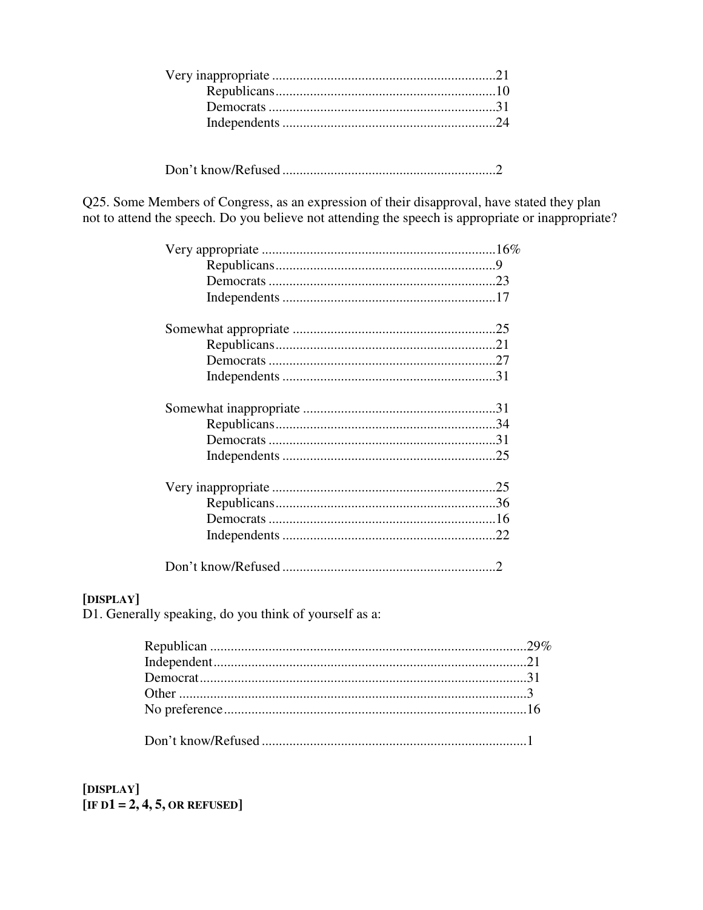Q25. Some Members of Congress, as an expression of their disapproval, have stated they plan not to attend the speech. Do you believe not attending the speech is appropriate or inappropriate?

### [DISPLAY]

D1. Generally speaking, do you think of yourself as a:

[DISPLAY] [IF D1 = 2, 4, 5, OR REFUSED]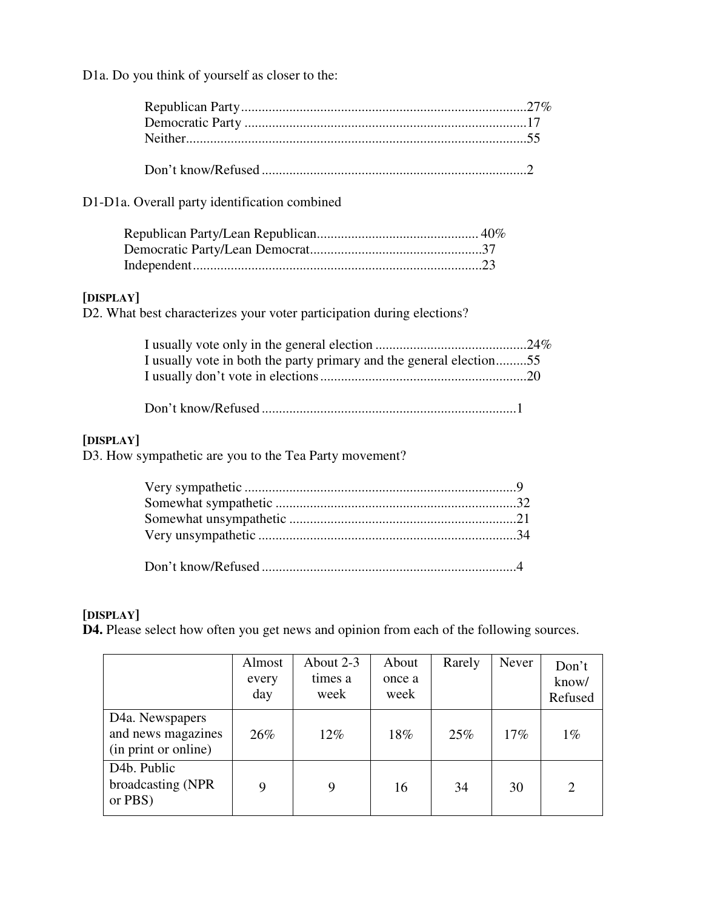D1a. Do you think of yourself as closer to the:

| D1-D1a. Overall party identification combined                                       |
|-------------------------------------------------------------------------------------|
|                                                                                     |
| [DISPLAY]<br>D2. What best characterizes your voter participation during elections? |
| I usually vote in both the party primary and the general election55                 |
|                                                                                     |
| [DISPLAY]<br>D3. How sympathetic are you to the Tea Party movement?                 |
|                                                                                     |

### **[DISPLAY]**

**D4.** Please select how often you get news and opinion from each of the following sources.

|                                                                            | Almost<br>every<br>day | About 2-3<br>times a<br>week | About<br>once a<br>week | Rarely | Never | Don't<br>know/<br>Refused |
|----------------------------------------------------------------------------|------------------------|------------------------------|-------------------------|--------|-------|---------------------------|
| D <sub>4</sub> a. Newspapers<br>and news magazines<br>(in print or online) | 26%                    | 12%                          | 18%                     | 25%    | 17%   | $1\%$                     |
| D <sub>4</sub> b. Public<br>broadcasting (NPR)<br>or PBS)                  | 9                      | 9                            | 16                      | 34     | 30    | $\overline{2}$            |